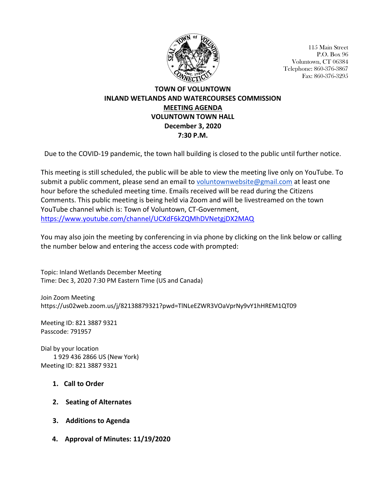

115 Main Street P.O. Box 96 Voluntown, CT 06384 Telephone: 860-376-3867 Fax: 860-376-3295

## **TOWN OF VOLUNTOWN INLAND WETLANDS AND WATERCOURSES COMMISSION MEETING AGENDA VOLUNTOWN TOWN HALL December 3, 2020 7:30 P.M.**

Due to the COVID-19 pandemic, the town hall building is closed to the public until further notice.

This meeting is still scheduled, the public will be able to view the meeting live only on YouTube. To submit a public comment, please send an email to [voluntownwebsite@gmail.com](mailto:voluntownwebsite@gmail.com) at least one hour before the scheduled meeting time. Emails received will be read during the Citizens Comments. This public meeting is being held via Zoom and will be livestreamed on the town YouTube channel which is: Town of Voluntown, CT-Government, <https://www.youtube.com/channel/UCXdF6kZQMhDVNetgjDX2MAQ>

You may also join the meeting by conferencing in via phone by clicking on the link below or calling the number below and entering the access code with prompted:

Topic: Inland Wetlands December Meeting Time: Dec 3, 2020 7:30 PM Eastern Time (US and Canada)

Join Zoom Meeting https://us02web.zoom.us/j/82138879321?pwd=TlNLeEZWR3VOaVprNy9vY1hHREM1QT09

Meeting ID: 821 3887 9321 Passcode: 791957

Dial by your location 1 929 436 2866 US (New York) Meeting ID: 821 3887 9321

- **1. Call to Order**
- **2. Seating of Alternates**
- **3. Additions to Agenda**
- **4. Approval of Minutes: 11/19/2020**